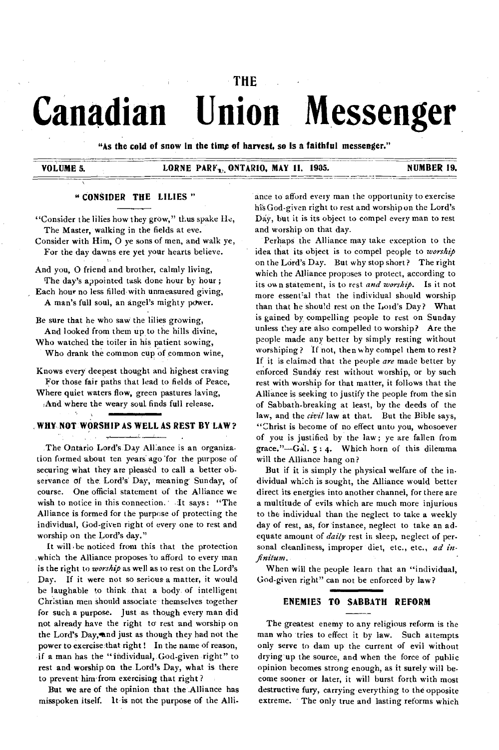# **Canadian Union Messenger**

**THE** 

**"As the cold of snow in the time of harvest, so is a faithful messenger."** 

#### **VOLUME 5. LORNE PARF, ONTARIO, MAY 11, 1905.** NUMBER 19.

#### **" CONSIDER THE LILIES "**

"Consider the lilies how they grow," thus spake He, The Master, walking in the fields at eve.

Consider with Him, 0 ye sons of men, and walk ye, For the day dawns ere yet your hearts believe.

And you, 0 friend and brother, calmly living, The day's appointed task done hour by hour; Each hour no less filled with unmeasured giving, A man's full soul, an angel's mighty power.

Be sure that he who saw the lilies growing, And looked from them up to the hills divine, Who watched the toiler in his patient sowing,

Who drank the common cup of common wine,

Knows every deepest thought and highest craving For those fair paths that lead to fields of Peace,

Where quiet waters flow, green pastures laving, 'And where the weary souL finds full release.

#### **WHY NOT WORSHIP AS WELL AS REST BY LAW ?**

The Ontario Lord's Day Alliance is an organization formed about ten years-ago 'for the purpose of securing what they are pleased to call a better observance of the Lord's Day, meaning Sunday, of course. One official statement of the Alliance we wish to notice in this connection.' It says: "The Alliance is formed for the purpose of protecting the individual, God-given right of every one to rest and worship on the Lord's day."

It will be noticed from this that the protection which the Alliance proposes to afford to every man is the right to *worship* as well as to rest on the Lord's Day. If it were not so serious a matter, it would be laughable to think that a body of intelligent Christian men should associate themselves together for such a purpose. Just as though every man did not already have the right to rest and worship on the Lord's Day, and just as though they had not the power to exercise that right ! In the name of reason, if a man has the "individual, God-given-right" to rest and worship on the. Lord's Day, what is there to prevent him'from exercising that right?

But we are of the opinion that the Alliance has misspoken itself. It is not the purpose of the Alliance to afford every man the opportunity to exercise his God-given right to rest and worship on the Lord's Day, but it is its object to compel every man to rest and worship on that day.

Perhaps the Alliance may take exception to the idea that its object is to compel people to *worship*  on the Lord's Day. But why stop short? The right which the Alliance proposes to protect, according to its own statement, is to rest *and worship.* Is it not more essent'al that the individual should worship than that he should rest on the Loid's Day? What is gained by compelling people to rest on Sunday unless they are also compelled to worship? Are the people made any better by simply resting without worshiping? If not, then why compel them to rest? If it is claimed that the people *are* made better by enforced Sunday rest without worship, or by such rest with worship for that matter, it follows that the Alliance is seeking to justify the people from the sin of Sabbath-breaking at least, by the deeds of the law, and the *civil* law at that. But the Bible says, "Christ is become of no effect unto you, whosoever of you is justified by the law; ye are fallen from grace."-Gal.  $5:4$ . Which horn of this dilemma will the Alliance hang on?

But if it is simply the physical welfare of the individual which is sought, the Alliance would better direct its energies into another channel, for there are a multitude of evils which are much more injurious to the individual than the neglect to take a weekly day of rest, as, for instance, neglect to take an adequate amount of *daily* rest in sleep, neglect of personal cleanliness, improper diet, etc., etc., *ad infinitum.* 

When will the people learn that an "individual, God-given right" can not be enforced by law?

#### **ENEMIES TO SABBATH REFORM**

**The** greatest enemy to any religious reform is the man who tries to effect it by law. Such attempts only serve to dam up the current of evil without drying up the source, and when the force of public opinion becomes strong enough, as it surely will become sooner or later, it will burst forth with most destructive fury, carrying everything to the opposite extreme. The only true and lasting reforms which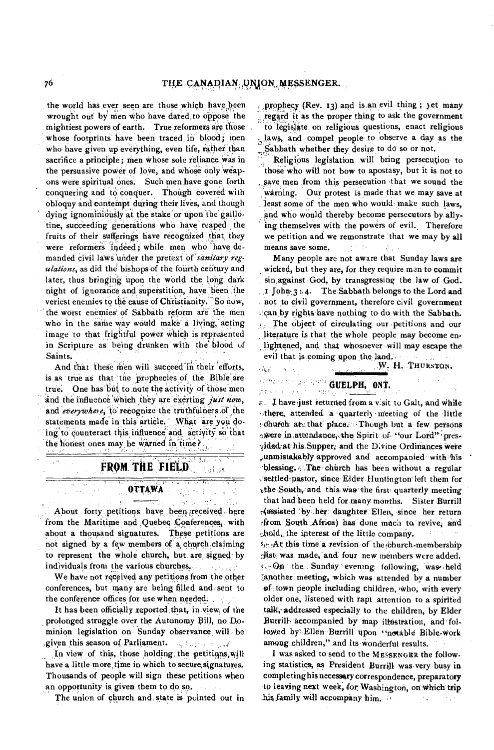the world has ever seen are those which have been wrought out by men who have dared to oppose the mightiest powers of earth. True reformers are those whose footprints have been traced in blood; men who have given up everything, even life, rather than sacrifice a principle; men whose sole reliance was in the persuasive power of love, and whose only weapons were spiritual ones. Such men have gone forth conquering and to conquer. Though covered with obloquy and contempt during their lives, and though dying ignominiously at the stake or upon the gaillotine, succeeding generations who have reaped the fruits of their sufferings have recognized that they were reformers indeed; while men who have demanded civil laws 'under the pretext Of *'sanitary regulations, as* did the bishops of the fourth century and later, thus bringing upon the world the long dark night of ignorance and superstition, have been the veriest enemies to the cause of Christianity. 'So now, the worst enemies' of Sabbath reform are the men who in the same way would make a living, acting image to that frightful power which is represented in Scripture as being drunken with the blood of Saints.

And that these men will succeed in their efforts, is as true as that the prophecies of the Bible are true. One has but to note the activity of those men and the influence which they are exerting *just now*, and *everywhere*, to recognize the truthfulness of the statements made in this article. What are you doing to counteract this influence and activity so that the honest ones may be warned in time  $\overline{r}_{\text{max}}$ 

> 77. FROM THE FIELD េងនូវ ១៩

> > <del>तिहास र</del> ay tagalaa

#### OTTAWA

About forty petitions have been received here from the Maritime and Quebec Conferences, with about a thousand signatures. These petitions are not signed by a few members of a church. claiming to represent the whole church, but are signed: by individuals from the various churches.. uruna vedi

We have not received any petitions from the other conferences, but many are being filled and sent to the conference offices for use when needed.

It has been officially reported that, in view, of the prolonged struggle over the Autonomy Bill, no Dominion legislation on Sunday observance, will be given this season of Parliament. a Norman SW

In view of this, those holding. the petitiqns,will have a little more time in which to secure signatures. Thousands of people will sign these petitions when an opportunity is given them to do so.

The union of church and state is pointed out in

prophecy (Rev. 13) and is an evil thing ; yet many , regard it as the proper thing to ask the government to legislate on religious questions, enact religious h, laws, and compel people to observe a day as the ;Sabbath whether they desire to do so or not.

Religious legislation will bring persecution to those'who will not bow to apostasy, but it is not to save men from this persecution that we sound the warning. Our protest is made that we may save at least some of the men who would make such laws, and who would thereby become persecutors by allying themselves with the powers of evil. Therefore we petition and we remonstrate that we may by all means save some.  $\mathcal{L}_{\mathcal{L}}$  .  $\mathcal{D}_{\infty}$ 

Many people are not aware that Sunday laws are wicked, but they are, for they require men to commit sin,against God, by transgressing the law of God. ,t John., 3 4. The Sabbath belongs to the Lord and not to civil government, therefore civil government -:can by rights have nothing to do with the Sabbath. The. object of circulating our petitions and our literature is that the whole people may become enlightened, and that whosoever will may escape the evil that is, coming upon the land.

W. H. THURSTON. 不定  $\mathbf{v}_\mu \propto \omega$ 

## **GUELPH, ONT.**

 $x \in \mathbb{R}$  and  $y \in \mathbb{R}$  and  $y \in \mathbb{R}$ . Thave just returned from a visit to Galt, and while othere, attended a quarterly meeting of the little schurch, at that place. Though but a few persons swere in attendance, the Spirit of "our Lord" presvided at his Supper, and the Divine Ordinances were .,unmistakably approved and accompanied with his blessing. The church has been without a regular , settled-pastor, since Elder-Huntington- left them for -the,South, and this. Was' the first- quarterly meeting that had been held for many months. Sister Burrill r4assisted 'bi:her-daughter Ellen, since her return :from South ,Africa) has done mach to revive; and shold, the interest of the little company.

 $s_{\text{max}}$ At this time a revision of the church-membership list: was made, 'and four new members were added. GO the Sunday ' evening. following, Was•- held Ianother meeting, which was attended by a number of town people including children, who, with every older one, listened with rapt attention to a spirited talk, addressed especially to the children, by Elder Burrill, accompanied by map illustration, and followed by' Ellen Burrill upon "notable Bible-work among children," and its wonderful results.

I was asked to send to the MESSENGER the following statistics; as President Burrill was-very busy in completing his necessary correspondence, preparatory to leaving next week, for Washington, on which trip hisfamily will accompany him.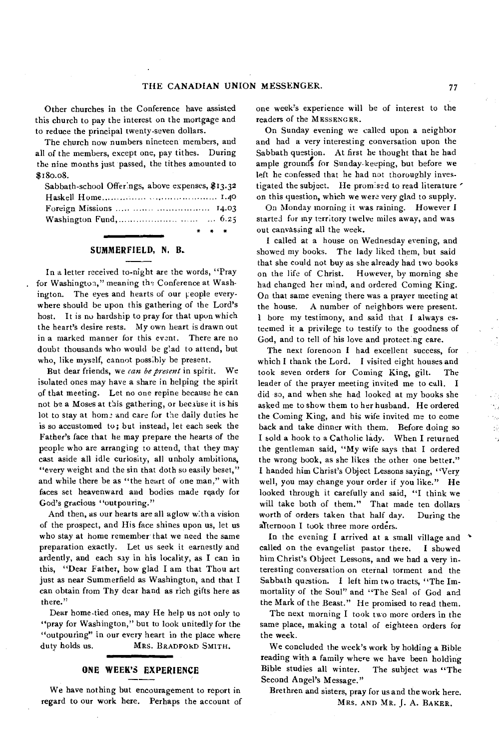Other churches in the Conference have assisted this church to pay the interest on the mortgage and to reduce the principal twenty-seven dollars.

The church now numbers nineteen members, and all of the members, except one, pay tithes. During the nine months just passed, the tithes amounted to \$180.08.

| Sabbath-school Offerings, above expenses, \$13.32                                          |
|--------------------------------------------------------------------------------------------|
|                                                                                            |
| Foreign Missions    14.03                                                                  |
| Washington Fund, $\ldots$ $\ldots$ $\ldots$ 6.25                                           |
| $\begin{array}{ccccccccccccc} \bullet & \bullet & \bullet & \bullet & \bullet \end{array}$ |

#### **SUMMERFIELD, N. B.**

In a letter received to-night are the words, "Pray for Washington," meaning the Conference at Washington. The eyes and hearts of our people everywhere should be upon this gathering of the Lord's host. It is nu hardship to pray for that upon which the heart's desire rests. My own heart is drawn out in a marked manner for this event. There are no doubt thousands who would be glad to attend, but who, like myself, cannot possibly be present.

But dear friends, we *can be present* in spirit. We isolated ones may have a share in helping the spirit of that meeting. Let no one repine because he can not be a Moses at this gathering, or because it is his lot to stay at home and care for the daily duties he is so accustomed to; but instead, let each seek the Father's face that he may prepare the hearts of the people who are arranging to attend, that they may cast aside all idle curiosity, all unholy ambitions, "every weight and the sin that doth so easily beset," and while there be as "the heart of one man," with faces set heavenward and bodies made ready for God's gracious "outpouring."

And then, as our hearts are all aglow with a vision of the prospect, and His face shines upon us, let us who stay at home remember that we need the same preparation ekactly. Let us seek it earnestly and ardently, and each say in his locality, as I can in this, "Dear Father, how glad I am that Thou art just as near Summerfield as Washington, and that I can obtain from Thy dear hand as rich gifts here as there."

Dear home-tied ones, may He help us not only to "pray for Washington," but to look unitedly for the "outpouring" in our every heart in the place where duty holds us. MRS. BRADFORD SMITH.

#### **ONE WEEK'S EXPERIENCE**

**We** have nothing but encouragement to report in regard to our work here. Perhaps the account of

one week's experience will be of interest to the readers of the MESSENGER.

On Sunday evening we called upon a neighbor and had a very interesting conversation upon the Sabbath question. At first he thought that he had ample ground's for Sunday-keeping, but before we left he confessed that he had not thoroughly investigated the subject. He promised to read literature on this question, which we were very glad to supply.

On Monday morning it was raining. However I started for my territory twelve miles away, and was out canvassing all the week.

I called at a house on Wednesday evening, and showed my books. The lady liked them, but said that she could not buy as she already had two books on the life of Christ. However, by morning she had changed her mind, and ordered Coming King. On that same evening there was a prayer meeting at the house. A number of neighbors were present. 1 bore my testimony, and said that I always esteemed it a privilege to testify to the goodness of God, and to tell of his love and protecting care.

The next forenoon I had excellent success, for which I thank the Lord. I visited eight houses and took seven orders for Coming King, gilt. The leader of the prayer meeting invited me to call. I did so, and when she had looked at my books she asked me to show them to her husband. He ordered the Coming King, and his wife invited me to come back and take dinner with them. Before doing so I sold a hook to a Catholic lady. When I returned the gentleman said, "My wife says that I ordered the wrong book, as she likes the other one better." I handed him Christ's Object Lessons saying, "Very well, you may change your order if you like." He looked through it carefully and said, "I think we will take both of them." That made ten dollars worth of orders taken that half day. During the aTternoon I took three more orders.

In the evening I arrived at a small village and  $\rightarrow$ called on the evangelist pastor there. I showed him Christ's Object Lessons, and we had a very interesting conversation on eternal torment and the Sabbath question. I left him two tracts, "The Immortality of the Soul" and "The Seal of God and the Mark of the Beast." He promised to read them.

The next morning I took two more orders in the same place, making a total of eighteen orders for the week.

We concluded the week's work by holding a Bible reading with a family where we have been holding Bible studies all winter. The subject was "The Second Angel's Message."

Brethren and sisters, pray for us and the work here. MRS. AND MR. J. A. BAKER.